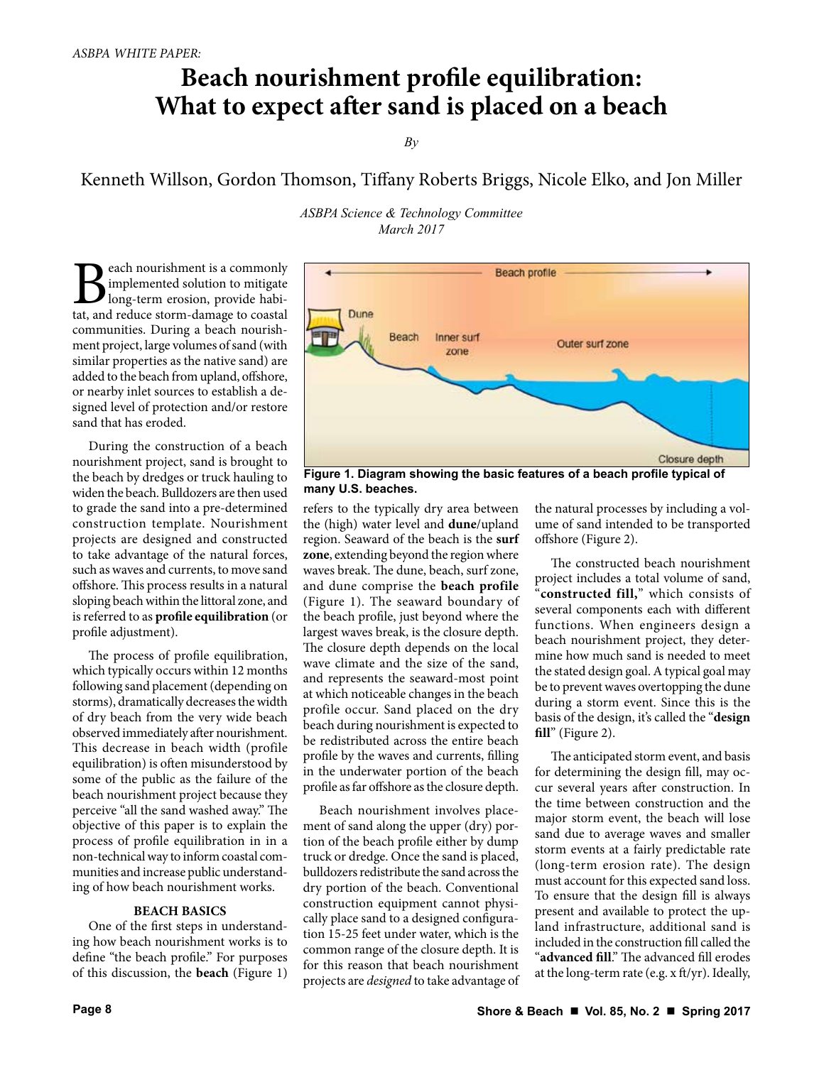# **Beach nourishment profile equilibration: What to expect after sand is placed on a beach**

*By*

Kenneth Willson, Gordon Thomson, Tiffany Roberts Briggs, Nicole Elko, and Jon Miller

*ASBPA Science & Technology Committee March 2017*

**B**each nourishment is a commonly implemented solution to mitigate long-term erosion, provide habitat, and reduce storm-damage to coastal implemented solution to mitigate long-term erosion, provide habicommunities. During a beach nourishment project, large volumes of sand (with similar properties as the native sand) are added to the beach from upland, offshore, or nearby inlet sources to establish a designed level of protection and/or restore sand that has eroded.

During the construction of a beach nourishment project, sand is brought to the beach by dredges or truck hauling to widen the beach. Bulldozers are then used to grade the sand into a pre-determined construction template. Nourishment projects are designed and constructed to take advantage of the natural forces, such as waves and currents, to move sand offshore. This process results in a natural sloping beach within the littoral zone, and is referred to as **profile equilibration** (or profile adjustment).

The process of profile equilibration, which typically occurs within 12 months following sand placement (depending on storms), dramatically decreases the width of dry beach from the very wide beach observed immediately after nourishment. This decrease in beach width (profile equilibration) is often misunderstood by some of the public as the failure of the beach nourishment project because they perceive "all the sand washed away." The objective of this paper is to explain the process of profile equilibration in in a non-technical way to inform coastal communities and increase public understanding of how beach nourishment works.

### **BEACH BASICS**

One of the first steps in understanding how beach nourishment works is to define "the beach profile." For purposes of this discussion, the **beach** (Figure 1)



**Figure 1. Diagram showing the basic features of a beach profile typical of many U.S. beaches.**

refers to the typically dry area between the (high) water level and **dune**/upland region. Seaward of the beach is the **surf zone**, extending beyond the region where waves break. The dune, beach, surf zone, and dune comprise the **beach profile** (Figure 1). The seaward boundary of the beach profile, just beyond where the largest waves break, is the closure depth. The closure depth depends on the local wave climate and the size of the sand, and represents the seaward-most point at which noticeable changes in the beach profile occur. Sand placed on the dry beach during nourishment is expected to be redistributed across the entire beach profile by the waves and currents, filling in the underwater portion of the beach profile as far offshore as the closure depth.

Beach nourishment involves placement of sand along the upper (dry) portion of the beach profile either by dump truck or dredge. Once the sand is placed, bulldozers redistribute the sand across the dry portion of the beach. Conventional construction equipment cannot physically place sand to a designed configuration 15-25 feet under water, which is the common range of the closure depth. It is for this reason that beach nourishment projects are *designed* to take advantage of the natural processes by including a volume of sand intended to be transported offshore (Figure 2).

The constructed beach nourishment project includes a total volume of sand, "**constructed fill,**" which consists of several components each with different functions. When engineers design a beach nourishment project, they determine how much sand is needed to meet the stated design goal. A typical goal may be to prevent waves overtopping the dune during a storm event. Since this is the basis of the design, it's called the "**design fill**" (Figure 2).

The anticipated storm event, and basis for determining the design fill, may occur several years after construction. In the time between construction and the major storm event, the beach will lose sand due to average waves and smaller storm events at a fairly predictable rate (long-term erosion rate). The design must account for this expected sand loss. To ensure that the design fill is always present and available to protect the upland infrastructure, additional sand is included in the construction fill called the "**advanced fill**." The advanced fill erodes at the long-term rate (e.g. x ft/yr). Ideally,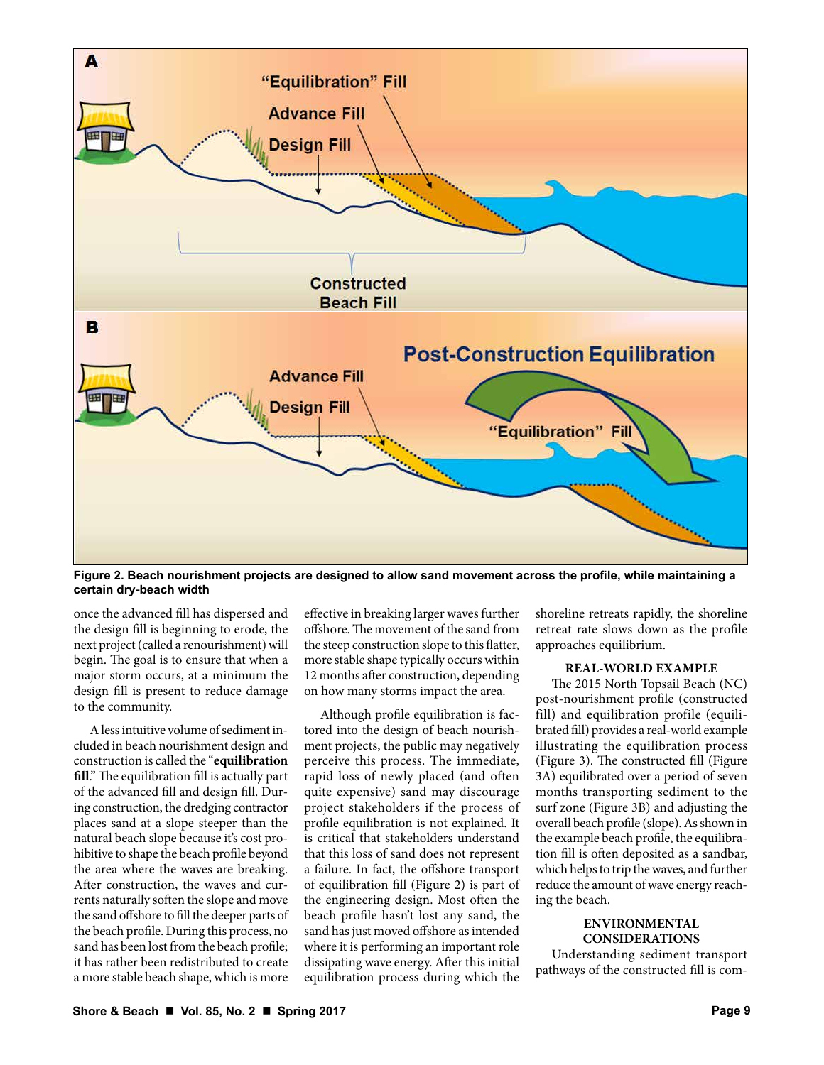

**Figure 2. Beach nourishment projects are designed to allow sand movement across the profile, while maintaining a certain dry-beach width**

once the advanced fill has dispersed and the design fill is beginning to erode, the next project (called a renourishment) will begin. The goal is to ensure that when a major storm occurs, at a minimum the design fill is present to reduce damage to the community.

A less intuitive volume of sediment included in beach nourishment design and construction is called the "**equilibration fill**." The equilibration fill is actually part of the advanced fill and design fill. During construction, the dredging contractor places sand at a slope steeper than the natural beach slope because it's cost prohibitive to shape the beach profile beyond the area where the waves are breaking. After construction, the waves and currents naturally soften the slope and move the sand offshore to fill the deeper parts of the beach profile. During this process, no sand has been lost from the beach profile; it has rather been redistributed to create a more stable beach shape, which is more

effective in breaking larger waves further offshore. The movement of the sand from the steep construction slope to this flatter, more stable shape typically occurs within 12 months after construction, depending on how many storms impact the area.

Although profile equilibration is factored into the design of beach nourishment projects, the public may negatively perceive this process. The immediate, rapid loss of newly placed (and often quite expensive) sand may discourage project stakeholders if the process of profile equilibration is not explained. It is critical that stakeholders understand that this loss of sand does not represent a failure. In fact, the offshore transport of equilibration fill (Figure 2) is part of the engineering design. Most often the beach profile hasn't lost any sand, the sand has just moved offshore as intended where it is performing an important role dissipating wave energy. After this initial equilibration process during which the shoreline retreats rapidly, the shoreline retreat rate slows down as the profile approaches equilibrium.

## **REAL-WORLD EXAMPLE**

The 2015 North Topsail Beach (NC) post-nourishment profile (constructed fill) and equilibration profile (equilibrated fill) provides a real-world example illustrating the equilibration process (Figure 3). The constructed fill (Figure 3A) equilibrated over a period of seven months transporting sediment to the surf zone (Figure 3B) and adjusting the overall beach profile (slope). As shown in the example beach profile, the equilibration fill is often deposited as a sandbar, which helps to trip the waves, and further reduce the amount of wave energy reaching the beach.

#### **ENVIRONMENTAL CONSIDERATIONS**

Understanding sediment transport pathways of the constructed fill is com-